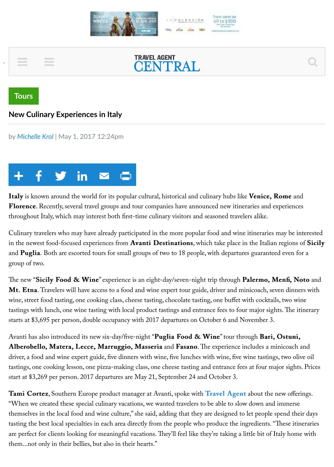



**Tours** 

## **New Culinary Experiences in Italy**

by Michelle Krol | May 1, 2017 12:24pm



Italy is known around the world for its popular cultural, historical and culinary hubs like Venice, Rome and Florence. Recently, several travel groups and tour companies have announced new itineraries and experiences throughout Italy, which may interest both first-time culinary visitors and seasoned travelers alike.

Culinary travelers who may have already participated in the more popular food and wine itineraries may be interested in the newest food-focused experiences from **Avanti Destinations**, which take place in the Italian regions of **Sicily** and **Puglia**. Both are escorted tours for small groups of two to 18 people, with departures guaranteed even for a group of two.

The new "Sicily Food & Wine" experience is an eight-day/seven-night trip through Palermo, Menfi, Noto and Mt. Etna. Travelers will have access to a food and wine expert tour guide, driver and minicoach, seven dinners with wine, street food tasting, one cooking class, cheese tasting, chocolate tasting, one buffet with cocktails, two wine tastings with lunch, one wine tasting with local product tastings and entrance fees to four major sights. The itinerary starts at \$3,695 per person, double occupancy with 2017 departures on October 6 and November 3.

Avanti has also introduced its new six-day/five-night "Puglia Food & Wine" tour through Bari, Ostuni, Alberobello, Matera, Lecce, Marruggio, Masseria and Fasano. The experience includes a minicoach and driver, a food and wine expert guide, five dinners with wine, five lunches with wine, five wine tastings, two olive oil tastings, one cooking lesson, one pizza-making class, one cheese tasting and entrance fees at four major sights. Prices start at \$3,269 per person. 2017 departures are May 21, September 24 and October 3.

**Tami Cortez**, Southern Europe product manager at Avanti, spoke with **Travel Agent** about the new offerings. When we created these special culinary vacations, we wanted travelers to be able to slow down and immerse themselves in the local food and wine culture," she said, adding that they are designed to let people spend their days tasting the best local specialties in each area directly from the people who produce the ingredients. "These itineraries are perfect for clients looking for meaningful vacations. They'll feel like they're taking a little bit of Italy home with them...not only in their bellies, but also in their hearts."